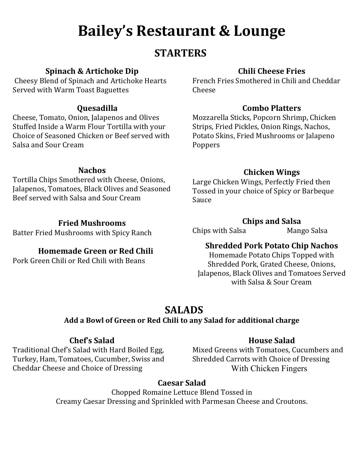# **Bailey's Restaurant & Lounge**

## **STARTERS**

#### **Spinach & Artichoke Dip**

Cheesy Blend of Spinach and Artichoke Hearts Served with Warm Toast Baguettes

#### **Quesadilla**

Cheese, Tomato, Onion, Jalapenos and Olives Stuffed Inside a Warm Flour Tortilla with your Choice of Seasoned Chicken or Beef served with Salsa and Sour Cream

#### **Nachos**

Tortilla Chips Smothered with Cheese, Onions, Jalapenos, Tomatoes, Black Olives and Seasoned Beef served with Salsa and Sour Cream

#### **Fried Mushrooms**

Batter Fried Mushrooms with Spicy Ranch

#### **Homemade Green or Red Chili**

Pork Green Chili or Red Chili with Beans

#### **Chili Cheese Fries**

French Fries Smothered in Chili and Cheddar Cheese

#### **Combo Platters**

Mozzarella Sticks, Popcorn Shrimp, Chicken Strips, Fried Pickles, Onion Rings, Nachos, Potato Skins, Fried Mushrooms or Jalapeno Poppers

#### **Chicken Wings**

Large Chicken Wings, Perfectly Fried then Tossed in your choice of Spicy or Barbeque Sauce

#### **Chips and Salsa**

Chips with Salsa Mango Salsa

#### **Shredded Pork Potato Chip Nachos**

Homemade Potato Chips Topped with Shredded Pork, Grated Cheese, Onions, Jalapenos, Black Olives and Tomatoes Served with Salsa & Sour Cream

## **SALADS**

#### **Add a Bowl of Green or Red Chili to any Salad for additional charge**

#### **Chef's Salad**

Traditional Chef's Salad with Hard Boiled Egg, Turkey, Ham, Tomatoes, Cucumber, Swiss and Cheddar Cheese and Choice of Dressing

#### **House Salad**

Mixed Greens with Tomatoes, Cucumbers and Shredded Carrots with Choice of Dressing With Chicken Fingers

#### **Caesar Salad**

Chopped Romaine Lettuce Blend Tossed in Creamy Caesar Dressing and Sprinkled with Parmesan Cheese and Croutons.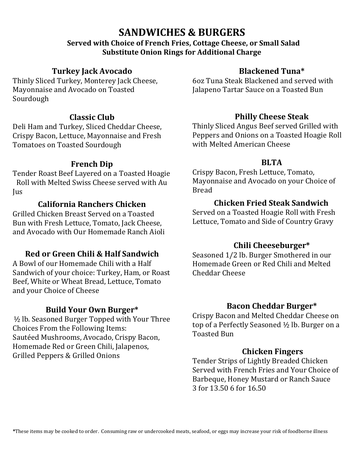## **SANDWICHES & BURGERS**

#### **Served with Choice of French Fries, Cottage Cheese, or Small Salad Substitute Onion Rings for Additional Charge**

#### **Turkey Jack Avocado**

Thinly Sliced Turkey, Monterey Jack Cheese, Mayonnaise and Avocado on Toasted Sourdough

#### **Classic Club**

Deli Ham and Turkey, Sliced Cheddar Cheese, Crispy Bacon, Lettuce, Mayonnaise and Fresh Tomatoes on Toasted Sourdough

#### **French Dip**

Tender Roast Beef Layered on a Toasted Hoagie Roll with Melted Swiss Cheese served with Au Jus

#### **California Ranchers Chicken**

Grilled Chicken Breast Served on a Toasted Bun with Fresh Lettuce, Tomato, Jack Cheese, and Avocado with Our Homemade Ranch Aioli

#### **Red or Green Chili & Half Sandwich**

A Bowl of our Homemade Chili with a Half Sandwich of your choice: Turkey, Ham, or Roast Beef, White or Wheat Bread, Lettuce, Tomato and your Choice of Cheese

#### **Build Your Own Burger\***

½ lb. Seasoned Burger Topped with Your Three Choices From the Following Items: Sautéed Mushrooms, Avocado, Crispy Bacon, Homemade Red or Green Chili, Jalapenos, Grilled Peppers & Grilled Onions

#### **Blackened Tuna\***

6oz Tuna Steak Blackened and served with Jalapeno Tartar Sauce on a Toasted Bun

#### **Philly Cheese Steak**

Thinly Sliced Angus Beef served Grilled with Peppers and Onions on a Toasted Hoagie Roll with Melted American Cheese

#### **BLTA**

Crispy Bacon, Fresh Lettuce, Tomato, Mayonnaise and Avocado on your Choice of Bread

#### **Chicken Fried Steak Sandwich**

Served on a Toasted Hoagie Roll with Fresh Lettuce, Tomato and Side of Country Gravy

#### **Chili Cheeseburger\***

Seasoned 1/2 lb. Burger Smothered in our Homemade Green or Red Chili and Melted Cheddar Cheese

#### **Bacon Cheddar Burger\***

Crispy Bacon and Melted Cheddar Cheese on top of a Perfectly Seasoned ½ lb. Burger on a Toasted Bun

#### **Chicken Fingers**

Tender Strips of Lightly Breaded Chicken Served with French Fries and Your Choice of Barbeque, Honey Mustard or Ranch Sauce 3 for 13.50 6 for 16.50

**\***These items may be cooked to order. Consuming raw or undercooked meats, seafood, or eggs may increase your risk of foodborne illness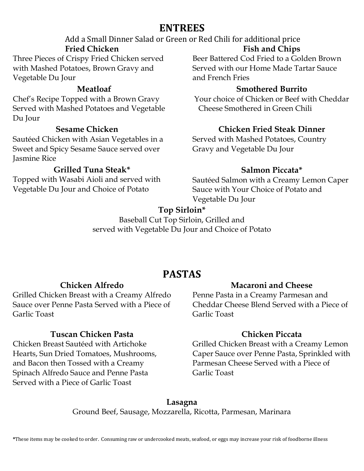## **ENTREES**

## Add a Small Dinner Salad or Green or Red Chili for additional price **Fried Chicken**

Three Pieces of Crispy Fried Chicken served with Mashed Potatoes, Brown Gravy and Vegetable Du Jour

#### **Meatloaf**

Chef's Recipe Topped with a Brown Gravy Served with Mashed Potatoes and Vegetable Du Jour

#### **Sesame Chicken**

Sautéed Chicken with Asian Vegetables in a Sweet and Spicy Sesame Sauce served over Jasmine Rice

#### **Grilled Tuna Steak\***

Topped with Wasabi Aioli and served with Vegetable Du Jour and Choice of Potato

#### **Fish and Chips**

Beer Battered Cod Fried to a Golden Brown Served with our Home Made Tartar Sauce and French Fries

#### **Smothered Burrito**

Your choice of Chicken or Beef with Cheddar Cheese Smothered in Green Chili

#### **Chicken Fried Steak Dinner**

Served with Mashed Potatoes, Country Gravy and Vegetable Du Jour

#### **Salmon Piccata\***

Sautéed Salmon with a Creamy Lemon Caper Sauce with Your Choice of Potato and Vegetable Du Jour

### **Top Sirloin\***

Baseball Cut Top Sirloin, Grilled and served with Vegetable Du Jour and Choice of Potato

## **PASTAS**

#### **Chicken Alfredo**

Grilled Chicken Breast with a Creamy Alfredo Sauce over Penne Pasta Served with a Piece of Garlic Toast

#### **Tuscan Chicken Pasta**

Chicken Breast Sautéed with Artichoke Hearts, Sun Dried Tomatoes, Mushrooms, and Bacon then Tossed with a Creamy Spinach Alfredo Sauce and Penne Pasta Served with a Piece of Garlic Toast

#### **Macaroni and Cheese**

Penne Pasta in a Creamy Parmesan and Cheddar Cheese Blend Served with a Piece of Garlic Toast

#### **Chicken Piccata**

Grilled Chicken Breast with a Creamy Lemon Caper Sauce over Penne Pasta, Sprinkled with Parmesan Cheese Served with a Piece of Garlic Toast

**Lasagna** Ground Beef, Sausage, Mozzarella, Ricotta, Parmesan, Marinara

**\***These items may be cooked to order. Consuming raw or undercooked meats, seafood, or eggs may increase your risk of foodborne illness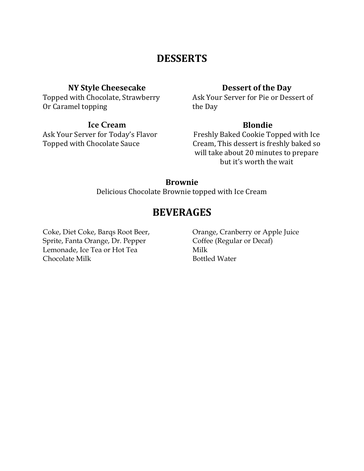## **DESSERTS**

#### **NY Style Cheesecake**

Topped with Chocolate, Strawberry Or Caramel topping

#### **Ice Cream**

Ask Your Server for Today's Flavor Topped with Chocolate Sauce

#### **Dessert of the Day**

Ask Your Server for Pie or Dessert of the Day

#### **Blondie**

Freshly Baked Cookie Topped with Ice Cream, This dessert is freshly baked so will take about 20 minutes to prepare but it's worth the wait

#### **Brownie**

Delicious Chocolate Brownie topped with Ice Cream

## **BEVERAGES**

Coke, Diet Coke, Barqs Root Beer, Sprite, Fanta Orange, Dr. Pepper Lemonade, Ice Tea or Hot Tea Chocolate Milk

Orange, Cranberry or Apple Juice Coffee (Regular or Decaf) Milk Bottled Water